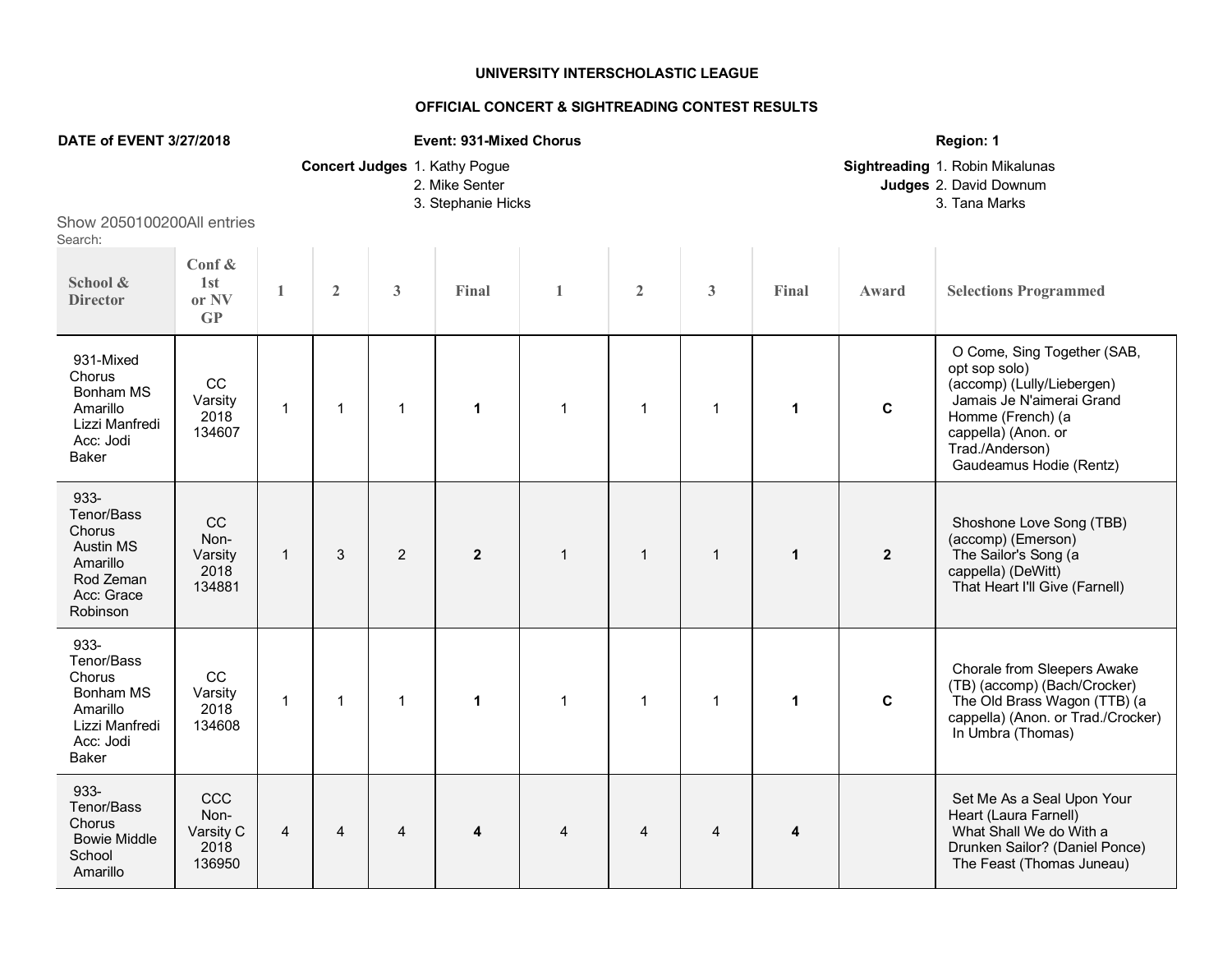## **UNIVERSITY INTERSCHOLASTIC LEAGUE**

## **OFFICIAL CONCERT & SIGHTREADING CONTEST RESULTS**

| DATE of EVENT 3/27/2018                                                                             |                                                |                |                |                | <b>Event: 931-Mixed Chorus</b>                                        |                | Region: 1                                                                  |              |                         |                         |                                                                                                                                                                                                   |
|-----------------------------------------------------------------------------------------------------|------------------------------------------------|----------------|----------------|----------------|-----------------------------------------------------------------------|----------------|----------------------------------------------------------------------------|--------------|-------------------------|-------------------------|---------------------------------------------------------------------------------------------------------------------------------------------------------------------------------------------------|
|                                                                                                     |                                                |                |                |                | Concert Judges 1. Kathy Pogue<br>2. Mike Senter<br>3. Stephanie Hicks |                | Sightreading 1. Robin Mikalunas<br>Judges 2. David Downum<br>3. Tana Marks |              |                         |                         |                                                                                                                                                                                                   |
| Show 2050100200All entries<br>Search:                                                               |                                                |                |                |                |                                                                       |                |                                                                            |              |                         |                         |                                                                                                                                                                                                   |
| School &<br><b>Director</b>                                                                         | Conf $\&$<br>1st<br>or NV<br>$\mathbf{G}$      | $\mathbf{1}$   | $\overline{2}$ | 3              | Final                                                                 | $\mathbf{1}$   | $\overline{2}$                                                             | 3            | Final                   | Award                   | <b>Selections Programmed</b>                                                                                                                                                                      |
| 931-Mixed<br>Chorus<br>Bonham MS<br>Amarillo<br>Lizzi Manfredi<br>Acc: Jodi<br>Baker                | CC<br>Varsity<br>2018<br>134607                | $\mathbf{1}$   | $\mathbf{1}$   | $\mathbf{1}$   | $\mathbf{1}$                                                          | $\mathbf{1}$   | $\mathbf{1}$                                                               | $\mathbf{1}$ | $\mathbf{1}$            | $\mathbf c$             | O Come, Sing Together (SAB,<br>opt sop solo)<br>(accomp) (Lully/Liebergen)<br>Jamais Je N'aimerai Grand<br>Homme (French) (a<br>cappella) (Anon. or<br>Trad./Anderson)<br>Gaudeamus Hodie (Rentz) |
| 933-<br>Tenor/Bass<br>Chorus<br><b>Austin MS</b><br>Amarillo<br>Rod Zeman<br>Acc: Grace<br>Robinson | <b>CC</b><br>Non-<br>Varsity<br>2018<br>134881 | $\mathbf{1}$   | 3              | $\overline{2}$ | $\mathbf{2}$                                                          | $\overline{1}$ | $\mathbf{1}$                                                               | $\mathbf{1}$ | $\mathbf{1}$            | $\overline{\mathbf{2}}$ | Shoshone Love Song (TBB)<br>(accomp) (Emerson)<br>The Sailor's Song (a<br>cappella) (DeWitt)<br>That Heart I'll Give (Farnell)                                                                    |
| 933-<br>Tenor/Bass<br>Chorus<br>Bonham MS<br>Amarillo<br>Lizzi Manfredi<br>Acc: Jodi<br>Baker       | CC<br>Varsity<br>2018<br>134608                | $\mathbf{1}$   | $\mathbf{1}$   | $\mathbf{1}$   | $\mathbf{1}$                                                          | $\overline{1}$ | $\mathbf{1}$                                                               | $\mathbf{1}$ | $\mathbf{1}$            | $\mathbf c$             | Chorale from Sleepers Awake<br>(TB) (accomp) (Bach/Crocker)<br>The Old Brass Wagon (TTB) (a<br>cappella) (Anon. or Trad./Crocker)<br>In Umbra (Thomas)                                            |
| 933-<br>Tenor/Bass<br>Chorus<br><b>Bowie Middle</b><br>School<br>Amarillo                           | CCC<br>Non-<br>Varsity C<br>2018<br>136950     | $\overline{4}$ | $\overline{4}$ | $\overline{4}$ | 4                                                                     | $\overline{4}$ | $\overline{4}$                                                             | 4            | $\overline{\mathbf{4}}$ |                         | Set Me As a Seal Upon Your<br>Heart (Laura Farnell)<br>What Shall We do With a<br>Drunken Sailor? (Daniel Ponce)<br>The Feast (Thomas Juneau)                                                     |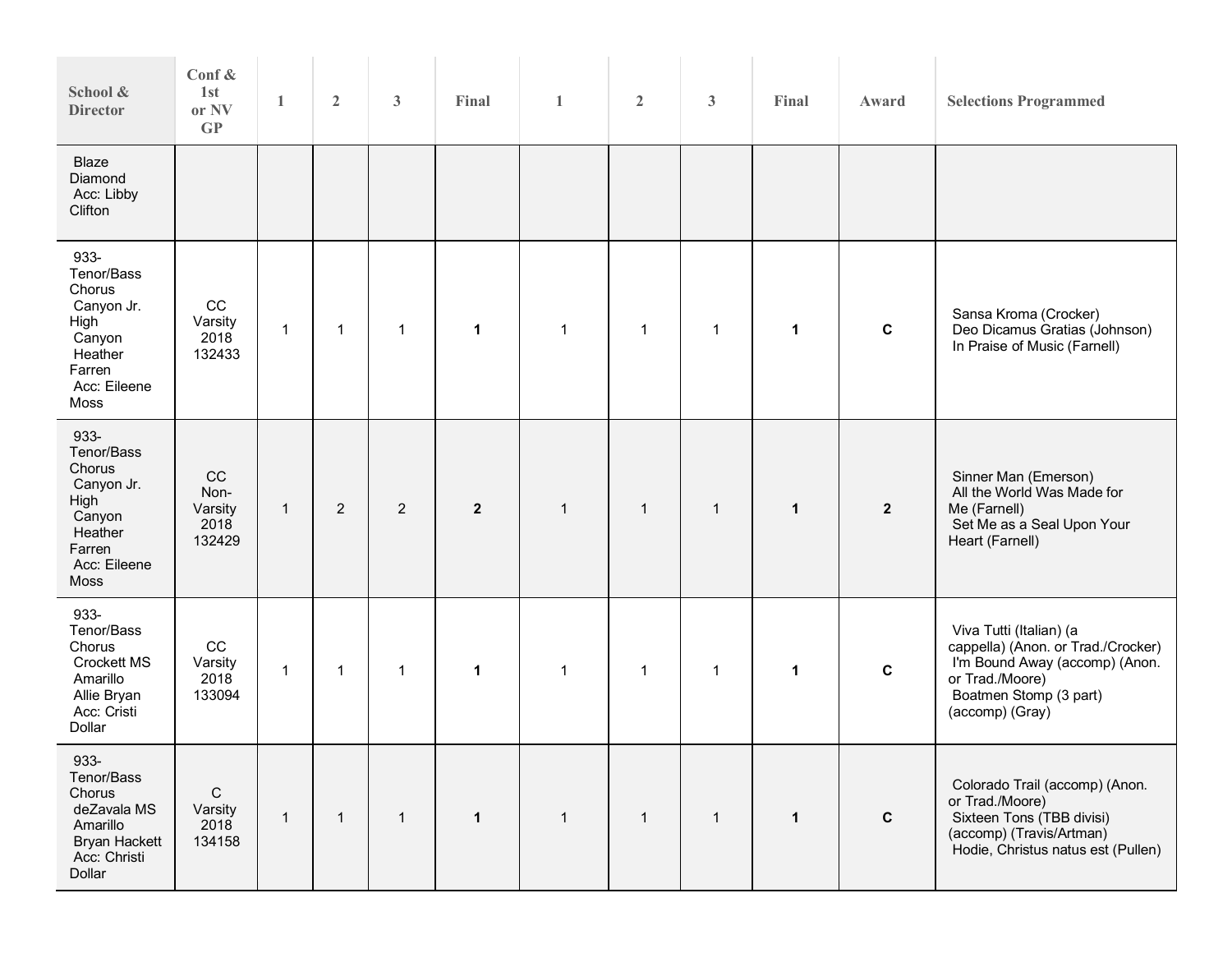| School &<br><b>Director</b>                                                                               | Conf $\&$<br>1st<br>or NV<br>GP          | 1            | $\overline{2}$ | $\mathbf{3}$   | Final        | $\mathbf{1}$ | $\overline{2}$ | $\mathbf{3}$ | Final        | Award          | <b>Selections Programmed</b>                                                                                                                                    |
|-----------------------------------------------------------------------------------------------------------|------------------------------------------|--------------|----------------|----------------|--------------|--------------|----------------|--------------|--------------|----------------|-----------------------------------------------------------------------------------------------------------------------------------------------------------------|
| <b>Blaze</b><br>Diamond<br>Acc: Libby<br>Clifton                                                          |                                          |              |                |                |              |              |                |              |              |                |                                                                                                                                                                 |
| 933-<br>Tenor/Bass<br>Chorus<br>Canyon Jr.<br>High<br>Canyon<br>Heather<br>Farren<br>Acc: Eileene<br>Moss | $_{\rm CC}$<br>Varsity<br>2018<br>132433 | $\mathbf 1$  | $\mathbf 1$    | $\mathbf{1}$   | $\mathbf 1$  | $\mathbf{1}$ | $\mathbf{1}$   | $\mathbf 1$  | $\mathbf 1$  | $\mathbf c$    | Sansa Kroma (Crocker)<br>Deo Dicamus Gratias (Johnson)<br>In Praise of Music (Farnell)                                                                          |
| 933-<br>Tenor/Bass<br>Chorus<br>Canyon Jr.<br>High<br>Canyon<br>Heather<br>Farren<br>Acc: Eileene<br>Moss | CC<br>Non-<br>Varsity<br>2018<br>132429  | $\mathbf{1}$ | $\overline{2}$ | $\overline{2}$ | $\mathbf{2}$ | $\mathbf{1}$ | $\mathbf{1}$   | $\mathbf{1}$ | $\mathbf{1}$ | $\overline{2}$ | Sinner Man (Emerson)<br>All the World Was Made for<br>Me (Farnell)<br>Set Me as a Seal Upon Your<br>Heart (Farnell)                                             |
| 933-<br>Tenor/Bass<br>Chorus<br><b>Crockett MS</b><br>Amarillo<br>Allie Bryan<br>Acc: Cristi<br>Dollar    | CC<br>Varsity<br>2018<br>133094          | $\mathbf{1}$ | $\mathbf 1$    | $\mathbf{1}$   | $\mathbf 1$  | $\mathbf{1}$ | $\mathbf{1}$   | $\mathbf 1$  | $\mathbf 1$  | $\mathbf c$    | Viva Tutti (Italian) (a<br>cappella) (Anon. or Trad./Crocker)<br>I'm Bound Away (accomp) (Anon.<br>or Trad./Moore)<br>Boatmen Stomp (3 part)<br>(accomp) (Gray) |
| 933-<br>Tenor/Bass<br>Chorus<br>deZavala MS<br>Amarillo<br><b>Bryan Hackett</b><br>Acc: Christi<br>Dollar | $\mathsf C$<br>Varsity<br>2018<br>134158 | $\mathbf{1}$ | $\mathbf{1}$   | $\mathbf{1}$   | $\mathbf{1}$ | $\mathbf{1}$ | $\mathbf{1}$   | $\mathbf{1}$ | $\mathbf{1}$ | $\mathbf{C}$   | Colorado Trail (accomp) (Anon.<br>or Trad./Moore)<br>Sixteen Tons (TBB divisi)<br>(accomp) (Travis/Artman)<br>Hodie, Christus natus est (Pullen)                |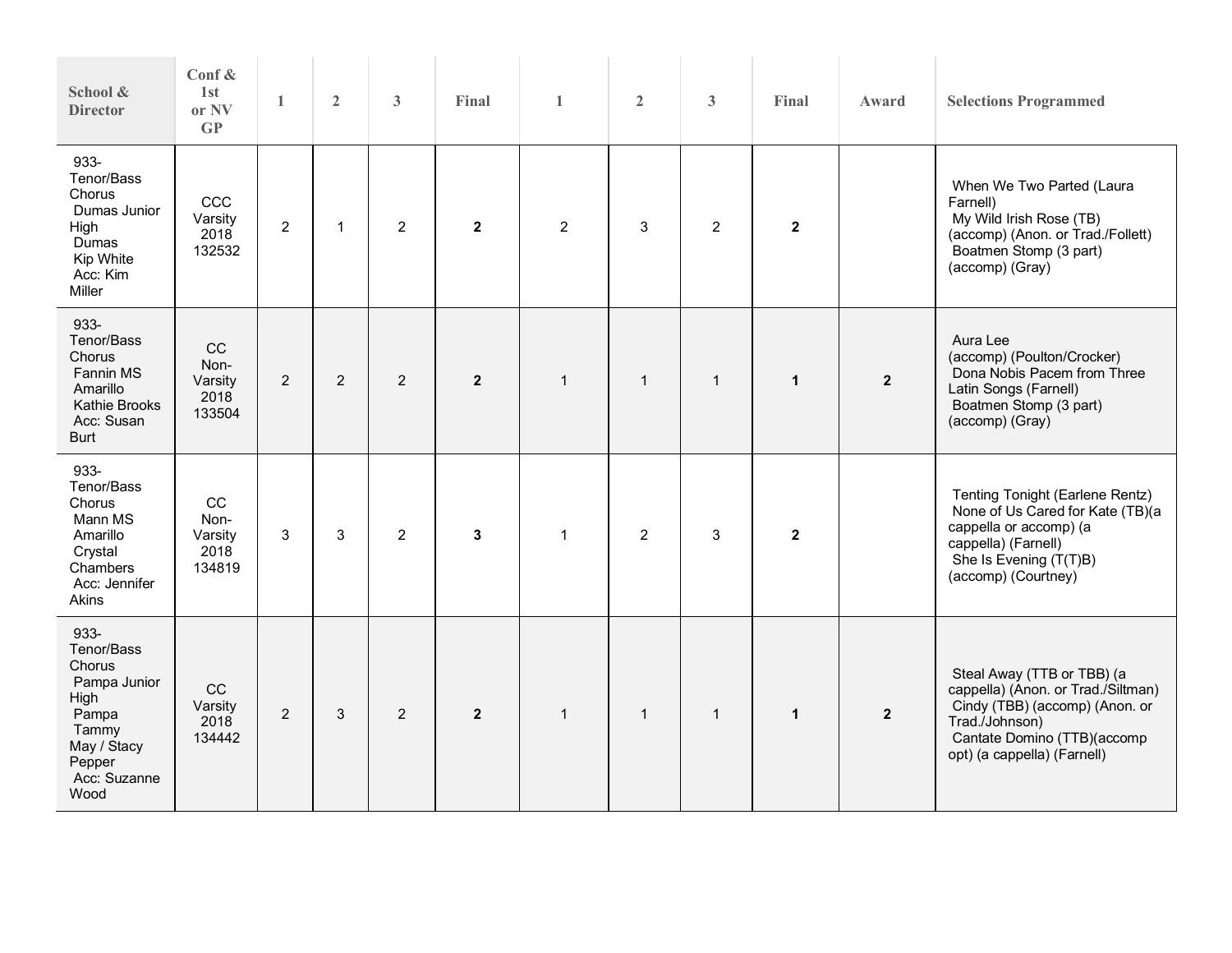| School &<br><b>Director</b>                                                                                             | Conf &<br>1st<br>or NV<br>$\mathbf{G}$  | $\mathbf{1}$   | $\overline{2}$ | $\mathbf{3}$   | Final          | $\mathbf{1}$   | $\overline{2}$ | 3              | Final        | Award          | <b>Selections Programmed</b>                                                                                                                                                       |
|-------------------------------------------------------------------------------------------------------------------------|-----------------------------------------|----------------|----------------|----------------|----------------|----------------|----------------|----------------|--------------|----------------|------------------------------------------------------------------------------------------------------------------------------------------------------------------------------------|
| 933-<br>Tenor/Bass<br>Chorus<br>Dumas Junior<br>High<br>Dumas<br>Kip White<br>Acc: Kim<br>Miller                        | CCC<br>Varsity<br>2018<br>132532        | $\overline{2}$ | $\mathbf{1}$   | $\overline{2}$ | $\overline{2}$ | 2              | 3              | $\overline{2}$ | $\mathbf{2}$ |                | When We Two Parted (Laura<br>Farnell)<br>My Wild Irish Rose (TB)<br>(accomp) (Anon. or Trad./Follett)<br>Boatmen Stomp (3 part)<br>(accomp) (Gray)                                 |
| 933-<br>Tenor/Bass<br>Chorus<br><b>Fannin MS</b><br>Amarillo<br>Kathie Brooks<br>Acc: Susan<br><b>Burt</b>              | CC<br>Non-<br>Varsity<br>2018<br>133504 | $\overline{2}$ | $\overline{2}$ | 2              | $\overline{2}$ | $\mathbf{1}$   | $\mathbf{1}$   | $\mathbf{1}$   | $\mathbf{1}$ | $\overline{2}$ | Aura Lee<br>(accomp) (Poulton/Crocker)<br>Dona Nobis Pacem from Three<br>Latin Songs (Farnell)<br>Boatmen Stomp (3 part)<br>(accomp) (Gray)                                        |
| 933-<br>Tenor/Bass<br>Chorus<br>Mann MS<br>Amarillo<br>Crystal<br>Chambers<br>Acc: Jennifer<br>Akins                    | cc<br>Non-<br>Varsity<br>2018<br>134819 | 3              | 3              | 2              | 3              | $\mathbf{1}$   | 2              | 3              | $\mathbf{2}$ |                | Tenting Tonight (Earlene Rentz)<br>None of Us Cared for Kate (TB)(a<br>cappella or accomp) (a<br>cappella) (Farnell)<br>She Is Evening (T(T)B)<br>(accomp) (Courtney)              |
| 933-<br>Tenor/Bass<br>Chorus<br>Pampa Junior<br>High<br>Pampa<br>Tammy<br>May / Stacy<br>Pepper<br>Acc: Suzanne<br>Wood | CC<br>Varsity<br>2018<br>134442         | $\overline{2}$ | 3              | $\overline{2}$ | $\overline{2}$ | $\overline{1}$ | $\mathbf{1}$   | $\mathbf{1}$   | $\mathbf{1}$ | $\overline{2}$ | Steal Away (TTB or TBB) (a<br>cappella) (Anon. or Trad./Siltman)<br>Cindy (TBB) (accomp) (Anon. or<br>Trad./Johnson)<br>Cantate Domino (TTB)(accomp<br>opt) (a cappella) (Farnell) |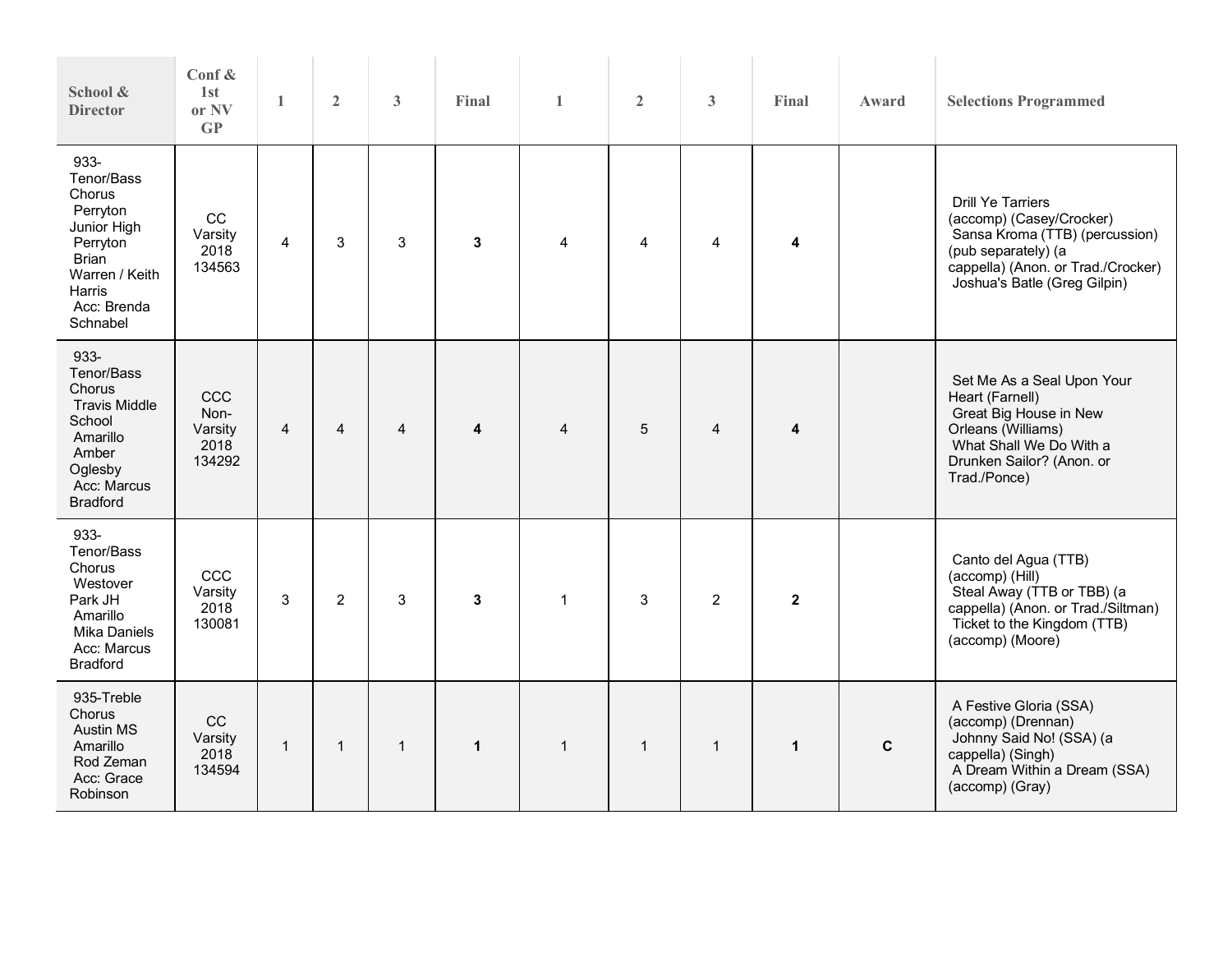| School &<br><b>Director</b>                                                                                                         | Conf &<br>1st<br>or NV<br>GP             | 1              | $\overline{2}$ | $\mathbf{3}$ | Final        | $\mathbf{1}$   | $\overline{2}$ | 3              | Final                   | Award       | <b>Selections Programmed</b>                                                                                                                                                        |
|-------------------------------------------------------------------------------------------------------------------------------------|------------------------------------------|----------------|----------------|--------------|--------------|----------------|----------------|----------------|-------------------------|-------------|-------------------------------------------------------------------------------------------------------------------------------------------------------------------------------------|
| 933-<br>Tenor/Bass<br>Chorus<br>Perryton<br>Junior High<br>Perryton<br>Brian<br>Warren / Keith<br>Harris<br>Acc: Brenda<br>Schnabel | CC<br>Varsity<br>2018<br>134563          | $\overline{4}$ | 3              | 3            | 3            | $\overline{4}$ | 4              | 4              | 4                       |             | <b>Drill Ye Tarriers</b><br>(accomp) (Casey/Crocker)<br>Sansa Kroma (TTB) (percussion)<br>(pub separately) (a<br>cappella) (Anon. or Trad./Crocker)<br>Joshua's Batle (Greg Gilpin) |
| 933-<br>Tenor/Bass<br>Chorus<br><b>Travis Middle</b><br>School<br>Amarillo<br>Amber<br>Oglesby<br>Acc: Marcus<br><b>Bradford</b>    | CCC<br>Non-<br>Varsity<br>2018<br>134292 | $\overline{4}$ | 4              | 4            | 4            | $\overline{4}$ | 5              | $\overline{4}$ | $\overline{\mathbf{4}}$ |             | Set Me As a Seal Upon Your<br>Heart (Farnell)<br>Great Big House in New<br>Orleans (Williams)<br>What Shall We Do With a<br>Drunken Sailor? (Anon. or<br>Trad./Ponce)               |
| 933-<br>Tenor/Bass<br>Chorus<br>Westover<br>Park JH<br>Amarillo<br><b>Mika Daniels</b><br>Acc: Marcus<br><b>Bradford</b>            | CCC<br>Varsity<br>2018<br>130081         | 3              | $\overline{2}$ | 3            | 3            | $\mathbf{1}$   | 3              | $\overline{2}$ | $\mathbf{2}$            |             | Canto del Agua (TTB)<br>(accomp) (Hill)<br>Steal Away (TTB or TBB) (a<br>cappella) (Anon. or Trad./Siltman)<br>Ticket to the Kingdom (TTB)<br>(accomp) (Moore)                      |
| 935-Treble<br>Chorus<br><b>Austin MS</b><br>Amarillo<br>Rod Zeman<br>Acc: Grace<br>Robinson                                         | CC<br>Varsity<br>2018<br>134594          | $\mathbf{1}$   | $\mathbf 1$    | $\mathbf{1}$ | $\mathbf{1}$ | $\mathbf{1}$   | $\mathbf{1}$   | $\mathbf{1}$   | $\mathbf{1}$            | $\mathbf c$ | A Festive Gloria (SSA)<br>(accomp) (Drennan)<br>Johnny Said No! (SSA) (a<br>cappella) (Singh)<br>A Dream Within a Dream (SSA)<br>(accomp) (Gray)                                    |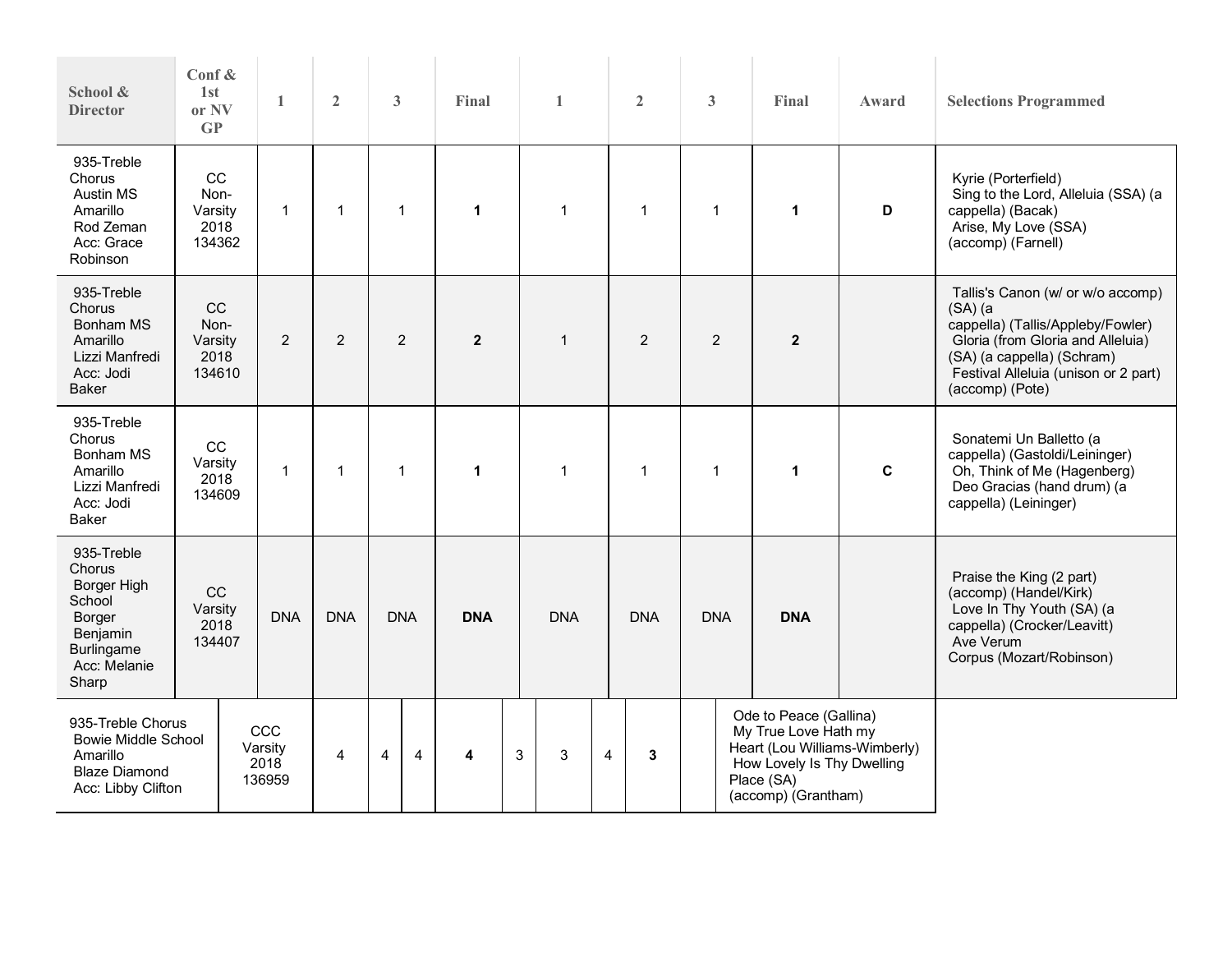| School &<br><b>Director</b>                                                                                       | Conf &<br>1st<br>or NV<br>GP             | $\mathbf{1}$                     | $\overline{2}$                                                     | 3                             | $\mathbf{1}$<br>Final |              | $\overline{2}$      | 3                                                                                                                                                       | Final                                                                                                                                              | Award       | <b>Selections Programmed</b>                                                                                                                                                                                         |
|-------------------------------------------------------------------------------------------------------------------|------------------------------------------|----------------------------------|--------------------------------------------------------------------|-------------------------------|-----------------------|--------------|---------------------|---------------------------------------------------------------------------------------------------------------------------------------------------------|----------------------------------------------------------------------------------------------------------------------------------------------------|-------------|----------------------------------------------------------------------------------------------------------------------------------------------------------------------------------------------------------------------|
| 935-Treble<br>Chorus<br>Austin MS<br>Amarillo<br>Rod Zeman<br>Acc: Grace<br>Robinson                              | CC<br>Non-<br>Varsity<br>2018<br>134362  | $\mathbf{1}$                     | $\mathbf{1}$                                                       | $\mathbf{1}$                  | $\blacktriangleleft$  | $\mathbf 1$  | $\mathbf{1}$        | $\mathbf 1$                                                                                                                                             | $\mathbf{1}$                                                                                                                                       | D           | Kyrie (Porterfield)<br>Sing to the Lord, Alleluia (SSA) (a<br>cappella) (Bacak)<br>Arise, My Love (SSA)<br>(accomp) (Farnell)                                                                                        |
| 935-Treble<br>Chorus<br><b>Bonham MS</b><br>Amarillo<br>Lizzi Manfredi<br>Acc: Jodi<br><b>Baker</b>               | CC<br>Non-<br>Varsity<br>2018<br>134610  | $\overline{2}$                   | $\overline{2}$                                                     | $\overline{2}$                | $\overline{2}$        | $\mathbf{1}$ | 2                   | $\overline{2}$                                                                                                                                          | $\overline{\mathbf{2}}$                                                                                                                            |             | Tallis's Canon (w/ or w/o accomp)<br>$(SA)$ $(a)$<br>cappella) (Tallis/Appleby/Fowler)<br>Gloria (from Gloria and Alleluia)<br>(SA) (a cappella) (Schram)<br>Festival Alleluia (unison or 2 part)<br>(accomp) (Pote) |
| 935-Treble<br>Chorus<br>Bonham MS<br>Amarillo<br>Lizzi Manfredi<br>Acc: Jodi<br><b>Baker</b>                      | cc<br>Varsity<br>2018<br>134609          | $\mathbf{1}$                     | $\mathbf{1}$                                                       | $\overline{1}$<br>$\mathbf 1$ |                       | 1            | $\mathbf{1}$        | 1                                                                                                                                                       | $\mathbf{1}$                                                                                                                                       | $\mathbf c$ | Sonatemi Un Balletto (a<br>cappella) (Gastoldi/Leininger)<br>Oh, Think of Me (Hagenberg)<br>Deo Gracias (hand drum) (a<br>cappella) (Leininger)                                                                      |
| 935-Treble<br>Chorus<br>Borger High<br>School<br>Borger<br>Benjamin<br><b>Burlingame</b><br>Acc: Melanie<br>Sharp | $_{\rm CC}$<br>Varsity<br>2018<br>134407 | <b>DNA</b>                       | <b>DNA</b><br><b>DNA</b><br><b>DNA</b><br><b>DNA</b><br><b>DNA</b> |                               | <b>DNA</b>            | <b>DNA</b>   |                     | Praise the King (2 part)<br>(accomp) (Handel/Kirk)<br>Love In Thy Youth (SA) (a<br>cappella) (Crocker/Leavitt)<br>Ave Verum<br>Corpus (Mozart/Robinson) |                                                                                                                                                    |             |                                                                                                                                                                                                                      |
| 935-Treble Chorus<br><b>Bowie Middle School</b><br>Amarillo<br><b>Blaze Diamond</b><br>Acc: Libby Clifton         |                                          | CCC<br>Varsity<br>2018<br>136959 | $\overline{4}$                                                     | $\overline{4}$<br>4           | 4                     | 3<br>3       | $\overline{4}$<br>3 |                                                                                                                                                         | Ode to Peace (Gallina)<br>My True Love Hath my<br>Heart (Lou Williams-Wimberly)<br>How Lovely Is Thy Dwelling<br>Place (SA)<br>(accomp) (Grantham) |             |                                                                                                                                                                                                                      |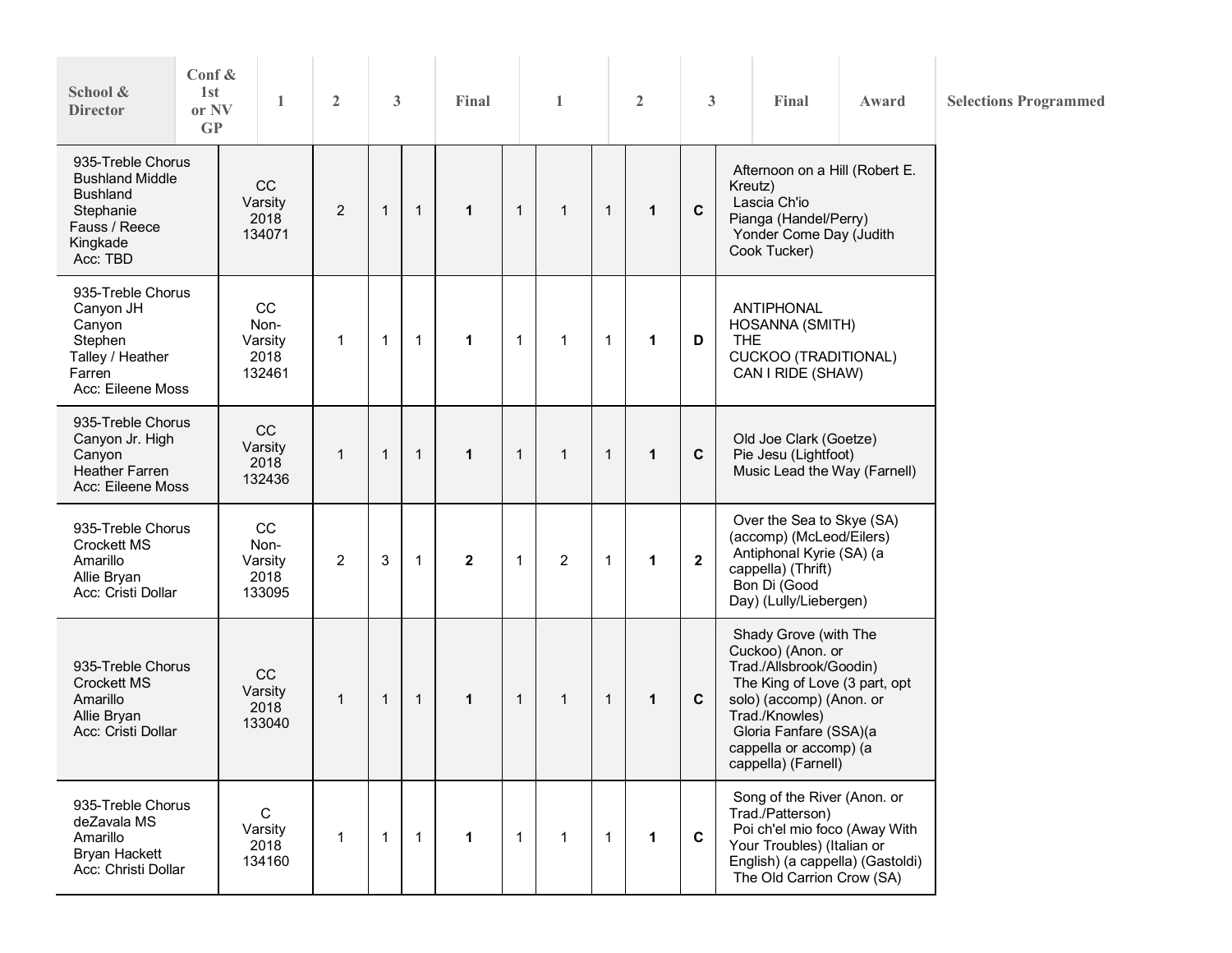| Conf $\&$<br>School &<br>1st<br>or NV<br><b>Director</b><br>GP                                                       |                                         | $\mathbf{1}$ |                | $\mathfrak{Z}$ |              | Final        |              | $\mathbf{1}$   |              | $\overline{2}$ | 3              |            | Final                                                                                                                                                                                                                           | Award | <b>Selections Programmed</b> |
|----------------------------------------------------------------------------------------------------------------------|-----------------------------------------|--------------|----------------|----------------|--------------|--------------|--------------|----------------|--------------|----------------|----------------|------------|---------------------------------------------------------------------------------------------------------------------------------------------------------------------------------------------------------------------------------|-------|------------------------------|
| 935-Treble Chorus<br><b>Bushland Middle</b><br><b>Bushland</b><br>Stephanie<br>Fauss / Reece<br>Kingkade<br>Acc: TBD | CC<br>Varsity<br>2018<br>134071         |              | $\overline{2}$ | $\mathbf{1}$   | $\mathbf{1}$ | $\mathbf{1}$ | $\mathbf{1}$ | $\mathbf{1}$   | $\mathbf{1}$ | $\mathbf{1}$   | $\mathbf C$    |            | Afternoon on a Hill (Robert E.<br>Kreutz)<br>Lascia Ch'io<br>Pianga (Handel/Perry)<br>Yonder Come Day (Judith<br>Cook Tucker)                                                                                                   |       |                              |
| 935-Treble Chorus<br>Canyon JH<br>Canyon<br>Stephen<br>Talley / Heather<br>Farren<br>Acc: Eileene Moss               | CC<br>Non-<br>Varsity<br>2018<br>132461 |              | $\mathbf{1}$   | $\mathbf{1}$   | $\mathbf{1}$ | $\mathbf{1}$ | $\mathbf{1}$ | $\mathbf{1}$   | $\mathbf{1}$ | $\mathbf{1}$   | D              | <b>THE</b> | ANTIPHONAL<br>HOSANNA (SMITH)<br><b>CUCKOO (TRADITIONAL)</b><br>CAN I RIDE (SHAW)                                                                                                                                               |       |                              |
| 935-Treble Chorus<br>Canyon Jr. High<br>Canyon<br><b>Heather Farren</b><br>Acc: Eileene Moss                         | CC<br>Varsity<br>2018<br>132436         |              | $\mathbf{1}$   | $\mathbf{1}$   | $\mathbf{1}$ | $\mathbf{1}$ | $\mathbf{1}$ | $\mathbf{1}$   | $\mathbf{1}$ | $\mathbf{1}$   | $\mathbf c$    |            | Old Joe Clark (Goetze)<br>Pie Jesu (Lightfoot)<br>Music Lead the Way (Farnell)                                                                                                                                                  |       |                              |
| 935-Treble Chorus<br>Crockett MS<br>Amarillo<br>Allie Bryan<br>Acc: Cristi Dollar                                    | CC<br>Non-<br>Varsity<br>2018<br>133095 |              | $\overline{c}$ | $\mathbf{3}$   | $\mathbf{1}$ | $\mathbf{2}$ | $\mathbf{1}$ | $\overline{2}$ | $\mathbf{1}$ | $\mathbf{1}$   | $\overline{2}$ |            | Over the Sea to Skye (SA)<br>(accomp) (McLeod/Eilers)<br>Antiphonal Kyrie (SA) (a<br>cappella) (Thrift)<br>Bon Di (Good<br>Day) (Lully/Liebergen)                                                                               |       |                              |
| 935-Treble Chorus<br><b>Crockett MS</b><br>Amarillo<br>Allie Bryan<br>Acc: Cristi Dollar                             | CC<br>Varsity<br>2018<br>133040         |              | $\mathbf{1}$   | $\mathbf{1}$   | $\mathbf{1}$ | $\mathbf 1$  | $\mathbf{1}$ | $\mathbf{1}$   | $\mathbf{1}$ | $\mathbf{1}$   | $\mathbf c$    |            | Shady Grove (with The<br>Cuckoo) (Anon. or<br>Trad./Allsbrook/Goodin)<br>The King of Love (3 part, opt<br>solo) (accomp) (Anon. or<br>Trad./Knowles)<br>Gloria Fanfare (SSA)(a<br>cappella or accomp) (a<br>cappella) (Farnell) |       |                              |
| 935-Treble Chorus<br>deZavala MS<br>Amarillo<br><b>Bryan Hackett</b><br>Acc: Christi Dollar                          | C<br>Varsity<br>2018<br>134160          |              | $\mathbf 1$    | $\mathbf{1}$   | $\mathbf{1}$ | $\mathbf{1}$ | $\mathbf{1}$ | $\mathbf{1}$   | $\mathbf{1}$ | $\mathbf 1$    | $\mathbf c$    |            | Song of the River (Anon. or<br>Trad./Patterson)<br>Poi ch'el mio foco (Away With<br>Your Troubles) (Italian or<br>English) (a cappella) (Gastoldi)<br>The Old Carrion Crow (SA)                                                 |       |                              |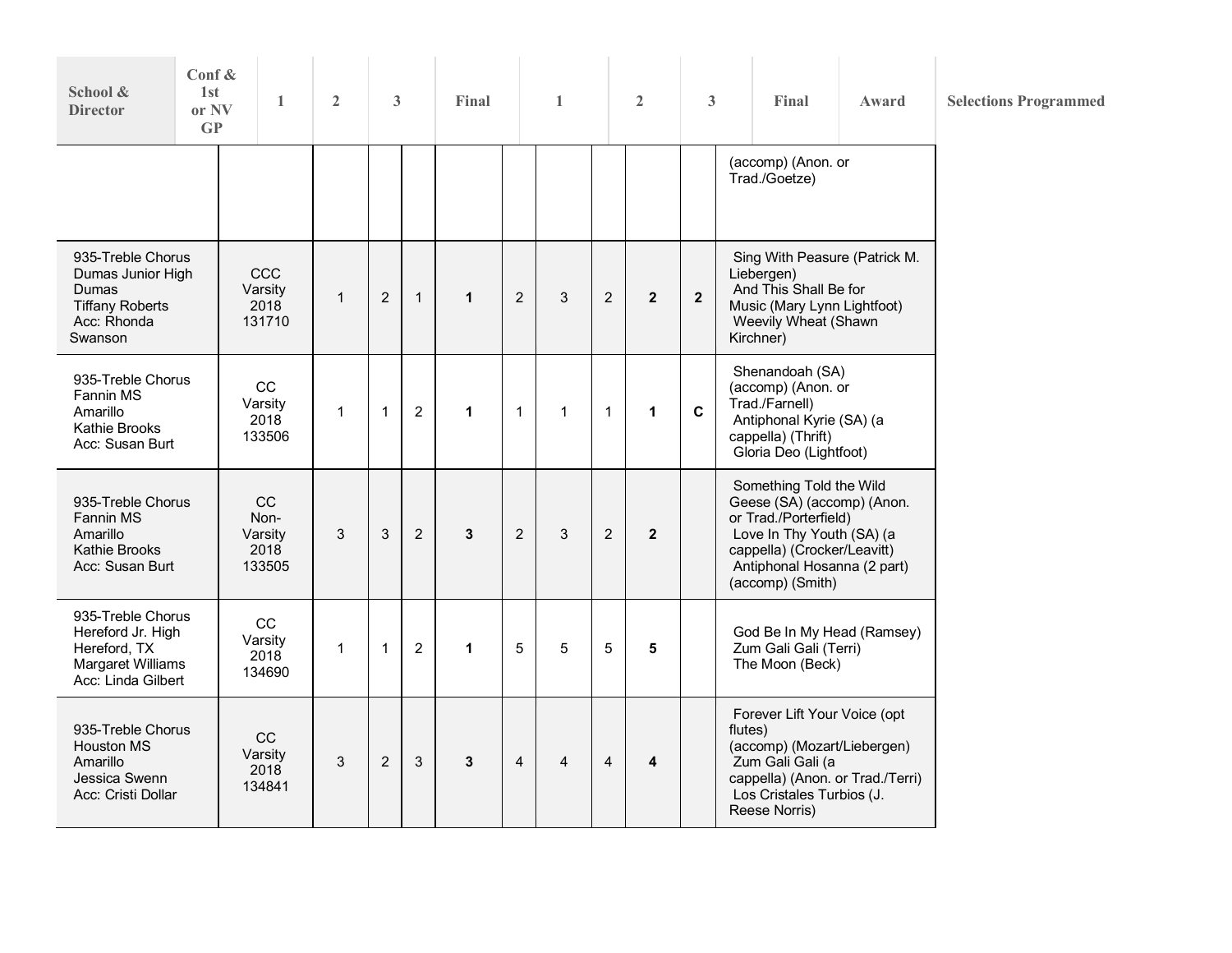| School &<br><b>Director</b>                                                                              | Conf &<br>1 <sub>st</sub><br>or NV<br>GP |  | 1                                       | $\overline{2}$ | 3              |              | Final        |                | $\mathbf{1}$ |                | $\overline{2}$ | 3              | Final                                                                                                                                                                                         | Award | <b>Selections Programmed</b> |
|----------------------------------------------------------------------------------------------------------|------------------------------------------|--|-----------------------------------------|----------------|----------------|--------------|--------------|----------------|--------------|----------------|----------------|----------------|-----------------------------------------------------------------------------------------------------------------------------------------------------------------------------------------------|-------|------------------------------|
|                                                                                                          |                                          |  |                                         |                |                |              |              |                |              |                |                |                | (accomp) (Anon. or<br>Trad./Goetze)                                                                                                                                                           |       |                              |
| Dumas<br><b>Tiffany Roberts</b><br>Acc: Rhonda<br>Swanson                                                | 935-Treble Chorus<br>Dumas Junior High   |  | CCC<br>Varsity<br>2018<br>131710        | $\mathbf{1}$   | $\overline{2}$ | $\mathbf{1}$ | $\mathbf{1}$ | $\overline{2}$ | 3            | $\overline{2}$ | $\mathbf{2}$   | $\overline{2}$ | Sing With Peasure (Patrick M.<br>Liebergen)<br>And This Shall Be for<br>Music (Mary Lynn Lightfoot)<br>Weevily Wheat (Shawn<br>Kirchner)                                                      |       |                              |
| 935-Treble Chorus<br>Fannin MS<br>Amarillo<br>Kathie Brooks<br>Acc: Susan Burt                           |                                          |  | CC<br>Varsity<br>2018<br>133506         | 1              | $\mathbf{1}$   | 2            | $\mathbf{1}$ | $\mathbf 1$    | 1            | $\mathbf{1}$   | $\mathbf{1}$   | $\mathbf{C}$   | Shenandoah (SA)<br>(accomp) (Anon. or<br>Trad./Farnell)<br>Antiphonal Kyrie (SA) (a<br>cappella) (Thrift)<br>Gloria Deo (Lightfoot)                                                           |       |                              |
| 935-Treble Chorus<br><b>Fannin MS</b><br>Amarillo<br>Kathie Brooks<br>Acc: Susan Burt                    |                                          |  | CC<br>Non-<br>Varsity<br>2018<br>133505 | 3              | 3              | 2            | 3            | $\overline{2}$ | 3            | $\overline{2}$ | $\mathbf{2}$   |                | Something Told the Wild<br>Geese (SA) (accomp) (Anon.<br>or Trad./Porterfield)<br>Love In Thy Youth (SA) (a<br>cappella) (Crocker/Leavitt)<br>Antiphonal Hosanna (2 part)<br>(accomp) (Smith) |       |                              |
| 935-Treble Chorus<br>Hereford Jr. High<br>Hereford, TX<br><b>Margaret Williams</b><br>Acc: Linda Gilbert |                                          |  | CC<br>Varsity<br>2018<br>134690         | 1              | $\overline{1}$ | 2            | $\mathbf{1}$ | 5              | 5            | 5              | 5              |                | God Be In My Head (Ramsey)<br>Zum Gali Gali (Terri)<br>The Moon (Beck)                                                                                                                        |       |                              |
| 935-Treble Chorus<br>Houston MS<br>Amarillo<br>Jessica Swenn<br>Acc: Cristi Dollar                       |                                          |  | CC<br>Varsity<br>2018<br>134841         | 3              | $\overline{2}$ | 3            | 3            | $\overline{4}$ | 4            | 4              | 4              |                | Forever Lift Your Voice (opt<br>flutes)<br>(accomp) (Mozart/Liebergen)<br>Zum Gali Gali (a<br>cappella) (Anon. or Trad./Terri)<br>Los Cristales Turbios (J.<br>Reese Norris)                  |       |                              |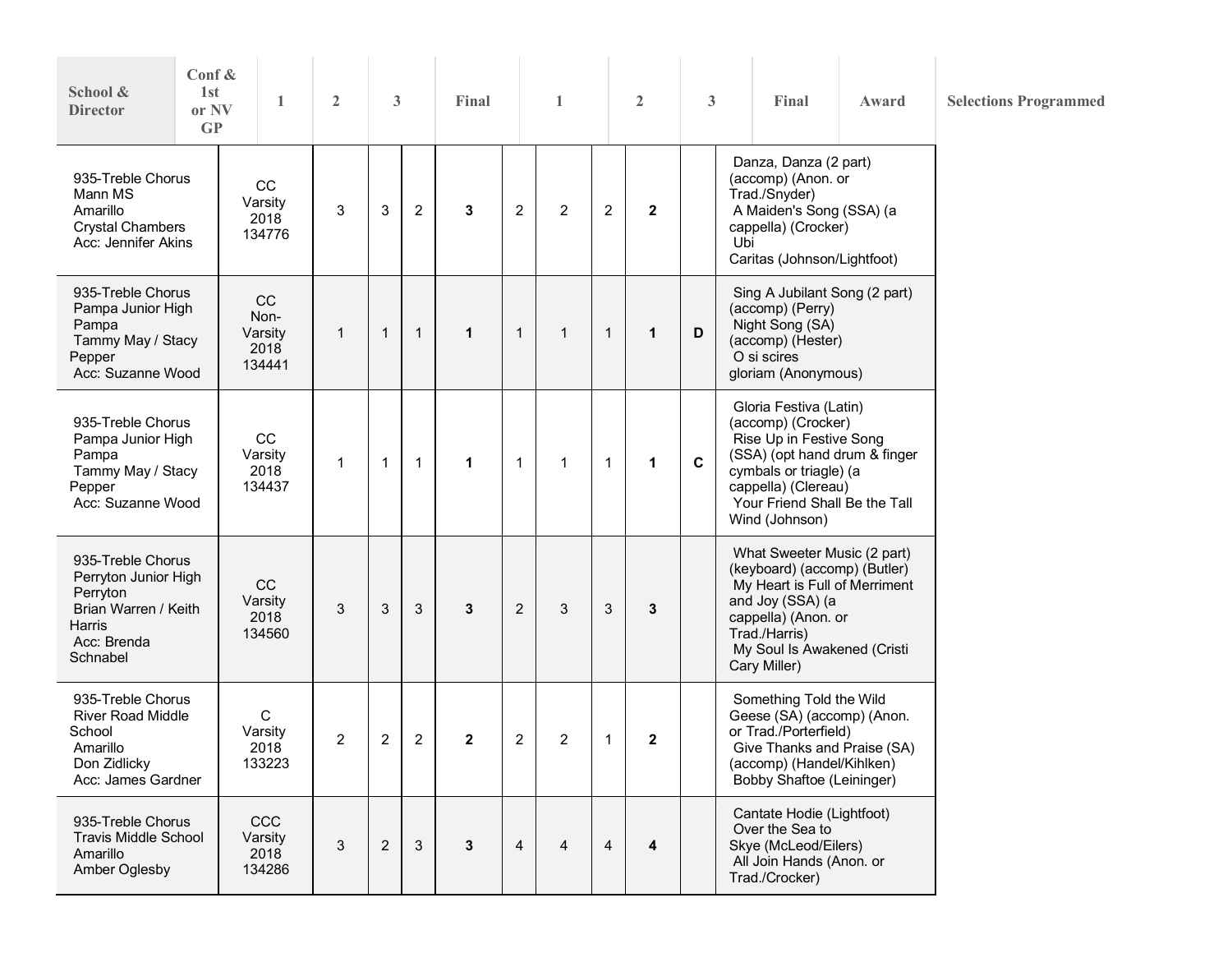| School &<br><b>Director</b>                                                                                               | Conf &<br>1st<br>or NV<br>GP                                        |  | 1                                       | $\overline{2}$ | 3            |              | Final        |                | 1              |                | $\overline{2}$ | 3            | Final                                                                                                                                                                                                        | Award | <b>Selections Programmed</b> |
|---------------------------------------------------------------------------------------------------------------------------|---------------------------------------------------------------------|--|-----------------------------------------|----------------|--------------|--------------|--------------|----------------|----------------|----------------|----------------|--------------|--------------------------------------------------------------------------------------------------------------------------------------------------------------------------------------------------------------|-------|------------------------------|
| Mann MS<br>Amarillo                                                                                                       | 935-Treble Chorus<br><b>Crystal Chambers</b><br>Acc: Jennifer Akins |  | CC<br>Varsity<br>2018<br>134776         | 3              | 3            | 2            | 3            | 2              | $\overline{2}$ | $\overline{c}$ | $\mathbf{2}$   |              | Danza, Danza (2 part)<br>(accomp) (Anon. or<br>Trad./Snyder)<br>A Maiden's Song (SSA) (a<br>cappella) (Crocker)<br>Ubi<br>Caritas (Johnson/Lightfoot)                                                        |       |                              |
| 935-Treble Chorus<br>Pampa Junior High<br>Pampa<br>Tammy May / Stacy<br>Pepper<br>Acc: Suzanne Wood                       |                                                                     |  | CC<br>Non-<br>Varsity<br>2018<br>134441 | $\mathbf{1}$   | $\mathbf{1}$ | $\mathbf{1}$ | $\mathbf{1}$ | $\mathbf{1}$   | $\mathbf{1}$   | $\mathbf{1}$   | $\mathbf{1}$   | D            | Sing A Jubilant Song (2 part)<br>(accomp) (Perry)<br>Night Song (SA)<br>(accomp) (Hester)<br>O si scires<br>gloriam (Anonymous)                                                                              |       |                              |
| 935-Treble Chorus<br>Pampa Junior High<br>Pampa<br>Tammy May / Stacy<br>Pepper<br>Acc: Suzanne Wood                       |                                                                     |  | CC<br>Varsity<br>2018<br>134437         | 1              | $\mathbf{1}$ | $\mathbf{1}$ | $\mathbf{1}$ | 1              | 1              | $\mathbf{1}$   | $\mathbf{1}$   | $\mathbf{C}$ | Gloria Festiva (Latin)<br>(accomp) (Crocker)<br>Rise Up in Festive Song<br>(SSA) (opt hand drum & finger<br>cymbals or triagle) (a<br>cappella) (Clereau)<br>Your Friend Shall Be the Tall<br>Wind (Johnson) |       |                              |
| 935-Treble Chorus<br>Perryton Junior High<br>Perryton<br>Brian Warren / Keith<br><b>Harris</b><br>Acc: Brenda<br>Schnabel |                                                                     |  | CC<br>Varsity<br>2018<br>134560         | 3              | 3            | 3            | 3            | $\overline{2}$ | 3              | $\sqrt{3}$     | 3              |              | What Sweeter Music (2 part)<br>(keyboard) (accomp) (Butler)<br>My Heart is Full of Merriment<br>and Joy (SSA) (a<br>cappella) (Anon. or<br>Trad./Harris)<br>My Soul Is Awakened (Cristi<br>Cary Miller)      |       |                              |
| 935-Treble Chorus<br><b>River Road Middle</b><br>School<br>Amarillo<br>Don Zidlicky<br>Acc: James Gardner                 |                                                                     |  | C<br>Varsity<br>2018<br>133223          | $\overline{2}$ | 2            | 2            | $\mathbf{2}$ | $\overline{c}$ | 2              | 1              | $\mathbf{2}$   |              | Something Told the Wild<br>Geese (SA) (accomp) (Anon.<br>or Trad./Porterfield)<br>Give Thanks and Praise (SA)<br>(accomp) (Handel/Kihlken)<br>Bobby Shaftoe (Leininger)                                      |       |                              |
| 935-Treble Chorus<br><b>Travis Middle School</b><br>Amarillo<br>Amber Oglesby                                             |                                                                     |  | CCC<br>Varsity<br>2018<br>134286        | 3              | 2            | 3            | 3            | $\overline{4}$ | 4              | $\overline{4}$ | 4              |              | Cantate Hodie (Lightfoot)<br>Over the Sea to<br>Skye (McLeod/Eilers)<br>All Join Hands (Anon. or<br>Trad./Crocker)                                                                                           |       |                              |